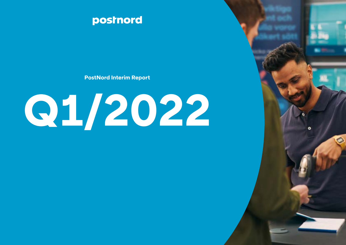

**PostNord Interim Report** 

# **Q1/2022**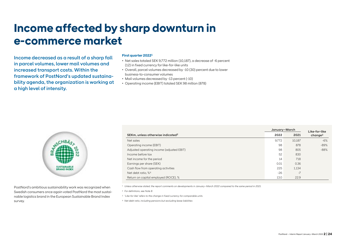# **Income affected by sharp downturn in e-commerce market**

Income decreased as a result of a sharp fall in parcel volumes, lower mail volumes and increased transport costs. Within the framework of PostNord's updated sustainability agenda, the organization is working at a high level of intensity.

### **First quarter 20221**

- Net sales totaled SEK 9,772 million (10,187), a decrease of -6 percent (12) in fixed currency for like-for-like units
- Overall, parcel volumes decreased by -10 (30) percent due to lower business-to-consumer volumes
- Mail volumes decreased by -13 percent (-10)
- Operating income (EBIT) totaled SEK 98 million (878)



PostNord's ambitious sustainability work was recognized when Swedish consumers once again voted PostNord the most sustainable logistics brand in the European Sustainable Brand Index survey.

|                                               | January-March |        | Like-for-like       |  |
|-----------------------------------------------|---------------|--------|---------------------|--|
| SEKm, unless otherwise indicated <sup>2</sup> | 2022          | 2021   | change <sup>3</sup> |  |
| Net sales                                     | 9.772         | 10.187 | $-6%$               |  |
| Operating income (EBIT)                       | 98            | 878    | $-89%$              |  |
| Adjusted operating income (adjusted EBIT)     | 98            | 805    | $-88%$              |  |
| Income before tax                             | 52            | 830    |                     |  |
| Net income for the period                     | 14            | 718    |                     |  |
| Earnings per share (SEK)                      | 0.01          | 0.36   |                     |  |
| Cash flow from operating activities           | 225           | 1.134  |                     |  |
| Net debt ratio, % <sup>4</sup>                | $-26$         | $-7$   |                     |  |
| Return on capital employed (ROCE), %          | 13.0          | 22.9   |                     |  |

<sup>1</sup> *Unless otherwise stated, the report comments on developments in January–March 2022 compared to the same period in 2021.*

<sup>2</sup> *For definitions, see Note 8.*

<sup>3</sup> *"Like-for-like" refers to the change in fixed currency for comparable units.*

<sup>4</sup> *Net debt ratio, including pensions but excluding lease liabilities*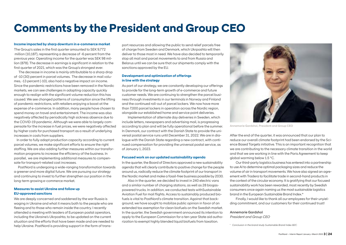# **Comments by the President and Group CEO**

### **Income impacted by sharp downturn in e-commerce market**

The Group's sales in the first quarter amounted to SEK 9,772 million (10,187), representing a decrease of -6 percent from the previous year. Operating income for the quarter was SEK 98 million (878). The decrease in earnings is significant in relation to the first quarter of 2021, which was the Group's strongest ever.

 The decrease in income is mainly attributable to a sharp drop of -10 (30) percent in parcel volumes. The decrease in mail volumes, -13 percent (-10), also had a negative impact on income. Since the pandemic restrictions have been removed in the Nordic markets, we can see challenges in adapting capacity quickly enough to realign with the significant volume reduction this has caused. We see changed patterns of consumption since the lifting of pandemic restrictions, with retailers enjoying a boost at the expense of e-commerce. In addition, many people have chosen to spend money on travel and entertainment. The income was also negatively affected by periodically high sickness absence due to the COVID-19 pandemic. Although we were able to largely compensate for the increase in fuel prices, we were negatively affected by higher costs for purchased transport as a result of underlying increases in costs from suppliers.

 In order to fully adapt production capacity according to current parcel volumes, we make significant efforts to ensure the right staffing. We are also adding further measures within our transformation programs to increase the efficiency of the business. In parallel, we are implementing additional measures to compensate for transport-related cost increases.

 PostNord is undergoing a wide-ranging transformation towards a greener and more digital future. We are pursuing our strategy and continuing to invest to further strengthen our position in the long-term growing e-commerce market.

### **Measures to assist Ukraine and follow up EU-approved sanctions**

We are deeply concerned and saddened by the war Russia is waging in Ukraine and what it means both to the people who are fleeing and to those who remain inside the country. I recently attended a meeting with leaders of European postal operators, including the Ukraine's Ukrposhta, to be updated on the current situation and the efforts that have been made and are needed to help Ukraine. PostNord is providing support in the form of transport resources and allowing the public to send relief parcels free of charge from Sweden and Denmark, which Ukrposhta will then deliver to those most in need. We have also decided to temporarily stop all mail and parcel movements to and from Russia and Belarus until we can be sure that our shipments comply with the sanctions approved by the EU.

### **Development and optimization of offerings in line with the strategy**

As part of our strategy, we are constantly developing our offerings to provide for the long-term growth of e-commerce and future customer needs. We are continuing to strengthen the parcel business through investments in our terminals in Norway and Finland and the continued roll-out of parcel lockers. We now have more than 7,000 parcel lockers in operation across the Nordic region, alongside our established home and service point deliveries.

Implementation of alternate day deliveries in Sweden, which include letters, newspapers and advertising mail, is progressing according to plan and will be fully operational before the summer. In Denmark, our contract with the Danish State to provide the universal postal service runs until December 31, 2022. We are in dialogue with the Danish State regarding a new contract, with continued compensation for providing the universal postal service, as of January 1, 2023.

#### **Focused work on our updated sustainability agenda**

In the quarter, the Board of Directors approved a new sustainability agenda that will clearly contribute to positive change for the people around us, radically reduce the climate footprint of our transport in the Nordic market and make a fossil-free business possible by 2030.

Also in the quarter, we decided to invest in 240 electric vans and a similar number of charging stations, as well as 28 biogaspowered trucks. In addition, we conducted tests withSustainable Aviation Fuel for mail flights. Access to sustainably produced biofuels is vital to PostNord's climate transition. Against that background, we have sought to mobilize public opinion in favor of an extended tax exemption for clean biofuels on the Swedish market. In the quarter, the Swedish government announced its intention to apply to the European Commission for a ten-year State aid authorization to exempt highly blended liquid biofuels from taxation.



Annemarie Gardshol, President and Group CEO

After the end of the quarter, it was announced that our plan to reduce our overall climate footprint had been endorsed by the Science Based Targets initiative. This is an important recognition that we are contributing to the necessary climate transition in the world and that we are working in line with the Paris Agreement to keep global warming below 1.5 °C.

Our third-party logistics business has entered into a partnership to use AI to determine optimal packaging sizes and reduce the volume of air in transport movements. We have also signed an agreement with Tradera to facilitate trade in second-hand products in the context of the circular economy. It is gratifying that our focused sustainability work has been rewarded, most recently by Swedish consumers once again naming us the most sustainable logistics brand in the European Sustainable Brand Index.\*

Finally, I would like to thank all our employees for their unyielding commitment, and our customers for their continued trust!

# Annemarie Gardshol

President and Group CEO

\* *Conclusion in the brand study Sustainable Brand Index B2C.*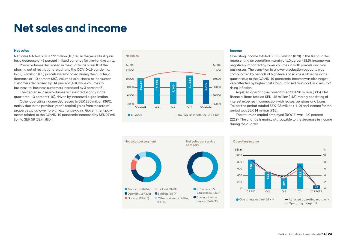# **Net sales and income**

### **Net sales**

Net sales totaled SEK 9,772 million (10,187) in the year's first quarter, a decrease of -6 percent in fixed currency for like-for-like units.

Parcel volumes decreased in the quarter as a result of the phasing out of restrictions relating to the COVID-19 pandemic. In all, 59 million (65) parcels were handled during the quarter, a decrease of -10 percent (30). Volumes to business-to-consumer customers decreased by -14 percent (40), while volumes to business-to-business customers increased by 3 percent (5).

The decrease in mail volumes accelerated slightly in the quarter to -13 percent (-10), driven by increased digitalization.

Other operating income decreased to SEK 285 million (360), mainly due to the previous year's capital gains from the sale of properties, plus lower foreign exchange gains. Government payments related to the COVID-19 pandemic increased by SEK 27 million to SEK 59 (32) million.



#### **Income**

Operating income totaled SEK 98 million (878) in the first quarter, representing an operating margin of 1.0 percent (8.6). Income was negatively impacted by lower volumes in both parcels and mail businesses. The transition to a lower production capacity was complicated by periods of high levels of sickness absence in the quarter due to the COVID-19 pandemic. Income was also negatively affected by higher costs for purchased transport as a result of rising inflation.

Adjusted operating income totaled SEK 98 million (805). Net financial items totaled SEK -45 million (-48), mainly consisting of interest expense in connection with leases, pensions and loans. Tax for the period totaled SEK -38 million (-112) and income for the period was SEK 14 million (718).

The return on capital employed (ROCE) was 13.0 percent (22.9). The change is mainly attributable to the decrease in income during the quarter.



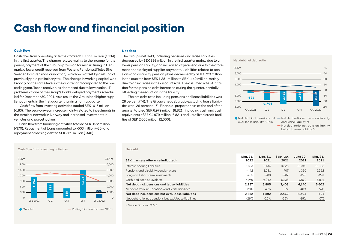# **Cash flow and financial position**

### **Cash flow**

Cash flow from operating activities totaled SEK 225 million (1,134) in the first quarter. The change relates mainly to the income for the period, payment of the Group's provision for restructuring in Denmark, a lower credit received from Postens Pensionsstiftelse (the Sweden Post Pension Foundation), which was offset by a refund of previously paid preliminary tax. The change in working capital was broadly on the same level in the quarter and compared to the preceding year. Trade receivables decreased due to lower sales. IT problems at one of the Group's banks delayed payments scheduled for December 30, 2021. As a result, the Group had higher supplier payments in the first quarter than in a normal quarter.

Cash flow from investing activities totaled SEK -617 million (-183). The year-on-year increase mainly related to investments in the terminal network in Norway and increased investments in vehicles and parcel lockers.

 Cash flow from financing activities totaled SEK -872 million (-370). Repayment of loans amounted to -503 million (-30) and repayment of leasing debt to SEK-369 million (-340).

### **Net debt**

The Group's net debt, including pensions and lease liabilities, decreased by SEK 898 million in the first quarter mainly due to a lower pension liability, and increased at year-end due to the aforementioned delayed supplier payments. Liabilities related to pensions and disability pension plans decreased by SEK 1,723 million in the quarter, from SEK 1,281 million to SEK -442 million, mainly due to an increase in the discount rate. The assumed rate of inflation for the pension debt increased during the quarter, partially offsetting the reduction in the liability.

The net debt ratio including pensions and lease liabilities was 28 percent (74). The Group's net debt ratio excluding lease liabilities was -26 percent (-7). Financial preparedness at the end of the quarter totaled SEK 6,979 million (8,821), including cash and cash equivalents of SEK 4,979 million (6,821) and unutilized credit facilities of SEK 2,000 million (2,000).

Net debt net debt ratio





#### Net debt

| SEKm, unless otherwise indicated <sup>1</sup>             | Mar. 31.<br>2022 | Dec. 31.<br>2021 | Sept. 30.<br>2021 | June 30.<br>2021 | Mar. 31.<br>2021 |
|-----------------------------------------------------------|------------------|------------------|-------------------|------------------|------------------|
| Interest-bearing liabilities                              | 8.693            | 9.134            | 9.226             | 10.049           | 10,322           |
| Pensions and disability pension plans                     | $-442$           | 1.281            | 707               | 1.360            | 2.392            |
| Long- and short-term investments                          | $-285$           | $-288$           | $-287$            | $-290$           | $-291$           |
| Cash and cash equivalents                                 | $-4.979$         | $-6.242$         | $-6,238$          | $-6,979$         | $-6,821$         |
| Net debt incl. pensions and lease liabilities             | 2.987            | 3.885            | 3.408             | 4.140            | 5.602            |
| Net debt ratio incl. pensions and lease liabilities       | 28%              | 43%              | 36%               | 48%              | 74%              |
| Net debt incl. pensions but excl. lease liabilities       | $-2.852$         | $-1.892$         | $-2.462$          | $-1.704$         | $-521$           |
| Net debt ratio incl. pensions but excl. lease liabilities | $-26%$           | $-20%$           | $-25%$            | $-19%$           | $-7\%$           |

<sup>1</sup> *See specification in Note 8.*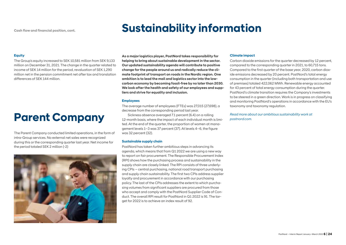# **Sustainability information**

## **Equity**

The Group's equity increased to SEK 10,581 million from SEK 9,133 million on December 31, 2021. The change in the quarter related to income of SEK 14 million for the period, revaluation of SEK 1,290 million net in the pension commitment net after tax and translation differences of SEK 144 million.

# **Parent Company**

The Parent Company conducted limited operations, in the form of intra-Group services. No external net sales were recognized during this or the corresponding quarter last year. Net income for the period totaled SEK 2 million (-2)



**As a major logistics player, PostNord takes responsibility for helping to bring about sustainable development in the sector. Our updated sustainability agenda will contribute to positive change for the people around us and radically reduce the climate footprint of transport on roads in the Nordic region. One ambition is to lead the mail and logistics sector into the lowcarbon economy by becoming fossil-free by no later than 2030. We look after the health and safety of our employees and suppliers and strive for equality and inclusion.** 

### **Employees**

The average number of employees (FTEs) was 27,015 (27,698), a decrease from the corresponding period last year.

Sickness absence averaged 7.1 percent (6.4) on a rolling 12-month basis, where the impact of each individual month is limited. At the end of the quarter, the proportion of women at management levels 1–3 was 37 percent (37). At levels 4–6, the figure was 32 percent (32).

### **Sustainable supply chain**

PostNord has taken further ambitious steps in advancing its agenda, which means that from Q1 2022 we are using a new way to report on fair procurement. The Responsible Procurement Index (RPI) shows how the purchasing process and sustainability in the supply chain are closely linked. The RPI consists of three underlying CPIs – central purchasing, national road transport purchasing and supply chain sustainability. The first two CPIs address supplier loyalty and procurement in accordance with our purchasing policy. The last of the CPIs addresses the extent to which purchasing volumes from significant suppliers are procured from those who accept and comply with the PostNord Supplier Code of Conduct. The overall RPI result for PostNord in Q1 2022 is 91. The target for 2022 is to achieve an index result of 92.

### **Climate impact**

Carbon dioxide emissions for the quarter decreased by 12 percent, compared to the corresponding quarter in 2021, to 60,715 tons. Compared to the first quarter of the base year, 2020, carbon dioxide emissions decreased by 20 percent. PostNord's total energy consumption in the quarter (including both transportation and use of premises) totaled 422,062 MWh. Renewable energy accounted for 43 percent of total energy consumption during the quarter. PostNord's climate transition requires the Company's investments to be steered in a green direction. Work is in progress on classifying and monitoring PostNord's operations in accordance with the EU's taxonomy and taxonomy regulation.

*Read more about our ambitious sustainability work at postnord.com.*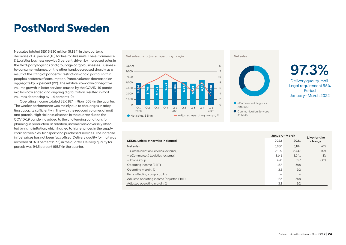# **PostNord Sweden**

Net sales totaled SEK 5,830 million (6,184) in the quarter, a decrease of -6 percent (10) for like-for-like units. The e-Commerce & Logistics business grew by 3 percent, driven by increased sales in the third-party logistics and groupage cargo businesses. Businessto-consumer volumes, on the other hand, decreased sharply as a result of the lifting of pandemic restrictions and a partial shift in people's patterns of consumption. Parcel volumes decreased on aggregate by -7 percent (22). The relative slowdown of negative volume growth in letter services caused by the COVID-19 pandemic has now ended and ongoing digitalization resulted in mail volumes decreasing by -14 percent (-9).

Operating income totaled SEK 187 million (568) in the quarter. The weaker performance was mainly due to challenges in adapting capacity sufficiently in line with the reduced volumes of mail and parcels. High sickness absence in the quarter due to the COVID-19 pandemic added to the challenging conditions for planning in production. In addition, income was adversely affected by rising inflation, which has led to higher prices in the supply chain for vehicles, transport and purchased services. The increase in fuel prices has not been fully offset. Delivery quality for mail was recorded at 97.3 percent (97.5) in the quarter. Delivery quality for parcels was 94.5 percent (95.7) in the quarter.





97.3%

Delivery quality, mail. Legal requirement 95% Period January–March 2022

| v,vvv<br>6,184<br>6,73<br>$\boldsymbol{z}$<br>$\frac{8}{3}$<br>च<br>4,500<br>,428<br>6<br>$\overline{\phantom{a}}$<br>Ņ<br><b>PZ</b><br>$\infty$<br>ιo<br>$\overline{6}$<br><b>SC</b><br>$3,000 -$<br>ဖာ<br>ம<br>$1,500 -$<br>$\overline{c}$<br>eCommerce & Logistics,<br>$\circ$<br>$\Omega$<br>59% (55)<br>Q <sub>2</sub><br>Q <sub>3</sub><br>Q <sub>2</sub><br>Q <sub>1</sub><br>Q <sub>3</sub><br>$Q_4$<br>Q <sub>1</sub><br>$Q_4$<br>Q <sub>1</sub><br>2020<br>2021<br>2022<br>Communication Services.<br>41% (45)<br>- Adjusted operating margin, %<br>Net sales, SEKm |       |               | Legal requirement 95<br>Period<br>January-March 202 |
|-------------------------------------------------------------------------------------------------------------------------------------------------------------------------------------------------------------------------------------------------------------------------------------------------------------------------------------------------------------------------------------------------------------------------------------------------------------------------------------------------------------------------------------------------------------------------------|-------|---------------|-----------------------------------------------------|
|                                                                                                                                                                                                                                                                                                                                                                                                                                                                                                                                                                               |       | January-March | Like-for-like                                       |
| SEKm, unless otherwise indicated                                                                                                                                                                                                                                                                                                                                                                                                                                                                                                                                              | 2022  | 2021          | change                                              |
| Net sales                                                                                                                                                                                                                                                                                                                                                                                                                                                                                                                                                                     | 5,830 | 6.184         | $-6%$                                               |
| - Communication Services (external)                                                                                                                                                                                                                                                                                                                                                                                                                                                                                                                                           | 2,199 | 2,447         | $-10%$                                              |
| - eCommerce & Logistics (external)                                                                                                                                                                                                                                                                                                                                                                                                                                                                                                                                            | 3,141 | 3,041         | 3%                                                  |
| - Intra-Group                                                                                                                                                                                                                                                                                                                                                                                                                                                                                                                                                                 | 490   | 697           | $-30%$                                              |
| Operating income (EBIT)                                                                                                                                                                                                                                                                                                                                                                                                                                                                                                                                                       | 187   | 568           |                                                     |
| Operating margin, %                                                                                                                                                                                                                                                                                                                                                                                                                                                                                                                                                           | 3.2   | 9.2           |                                                     |
| Items affecting comparability                                                                                                                                                                                                                                                                                                                                                                                                                                                                                                                                                 |       |               |                                                     |
| Adjusted operating income (adjusted EBIT)                                                                                                                                                                                                                                                                                                                                                                                                                                                                                                                                     | 187   | 568           |                                                     |
| Adjusted operating margin, %                                                                                                                                                                                                                                                                                                                                                                                                                                                                                                                                                  | 3.2   | 9.2           |                                                     |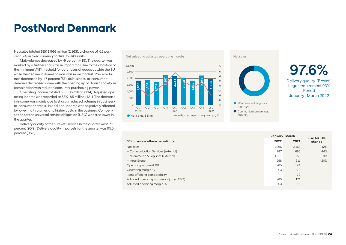# **PostNord Denmark**

Net sales totaled SEK 1,966 million (2,163), a change of -12 percent (24) in fixed currency for like-for-like units.

Mail volumes decreased by -9 percent (-15). The quarter was marked by a further sharp fall in import mail due to the abolition of the minimum VAT threshold for purchases of goods outside the EU, while the decline in domestic mail was more modest. Parcel volumes decreased by -17 percent (57), as business-to-consumer demand decreased in line with the opening up of Danish society, in combination with reduced consumer purchasing power.

Operating income totaled SEK -85 million (194). Adjusted operating income was recorded at SEK -85 million (121). The decrease in income was mainly due to sharply reduced volumes in businessto-consumer parcels. In addition, income was negatively affected by lower mail volumes and higher costs in the business. Compensation for the universal service obligation (USO) was also lower in the quarter.

Delivery quality of the "Brevet" service in the quarter was 97.6 percent (95.9). Delivery quality in parcels for the quarter was 95.5 percent (95.5).





97.6%

Delivery quality, "Brevet". Legal requirement 93% Period January–March 2022

| 2,000<br>i۵<br>2,163<br>$\overline{c}$<br>0.58<br>966<br>832<br>1,864<br>838<br>$1,500 -$<br>$\circ$<br>$\mathbf{N}$<br>$-2$<br>1,000<br>$-4$<br>500<br>$-6$<br>eCommerce & Logistics,<br>$-8$<br>$\Omega$<br>64% (62)<br>Q <sub>2</sub><br>Q <sub>3</sub><br>$Q_4$<br>Q <sub>1</sub><br>Q <sub>2</sub><br>Q <sub>3</sub><br>Q <sub>4</sub><br>Q <sub>1</sub><br>Q <sub>1</sub><br>2020<br>2021<br>2022<br>Communication services.<br>36% (38)<br>Net sales, SEKm<br>- Adjusted operating margin, % |        |               | Delivery quality, "Breve<br>Legal requirement 939<br>Period<br>January-March 2022 |
|-----------------------------------------------------------------------------------------------------------------------------------------------------------------------------------------------------------------------------------------------------------------------------------------------------------------------------------------------------------------------------------------------------------------------------------------------------------------------------------------------------|--------|---------------|-----------------------------------------------------------------------------------|
|                                                                                                                                                                                                                                                                                                                                                                                                                                                                                                     |        | January-March | Like-for-like                                                                     |
| SEKm, unless otherwise indicated                                                                                                                                                                                                                                                                                                                                                                                                                                                                    | 2022   | 2021          | change                                                                            |
| Net sales                                                                                                                                                                                                                                                                                                                                                                                                                                                                                           | 1,966  | 2,163         | $-12%$                                                                            |
| - Communication Services (external)                                                                                                                                                                                                                                                                                                                                                                                                                                                                 | 617    | 696           | $-14%$                                                                            |
| - eCommerce & Logistics (external)                                                                                                                                                                                                                                                                                                                                                                                                                                                                  | 1.091  | 1,156         | $-9%$                                                                             |
| - Intra-Group                                                                                                                                                                                                                                                                                                                                                                                                                                                                                       | 258    | 311           | $-20%$                                                                            |
| Operating income (EBIT)                                                                                                                                                                                                                                                                                                                                                                                                                                                                             | $-85$  | 194           |                                                                                   |
| Operating margin, %                                                                                                                                                                                                                                                                                                                                                                                                                                                                                 | $-4.3$ | 9.0           |                                                                                   |
| Items affecting comparability                                                                                                                                                                                                                                                                                                                                                                                                                                                                       |        | 72            |                                                                                   |
| Adjusted operating income (adjusted EBIT)                                                                                                                                                                                                                                                                                                                                                                                                                                                           | $-85$  | 121           |                                                                                   |
| Adjusted operating margin, %                                                                                                                                                                                                                                                                                                                                                                                                                                                                        | $-4.3$ | 5.6           |                                                                                   |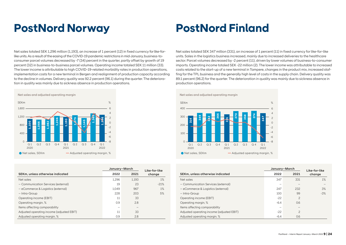# **PostNord Norway**

# **PostNord Finland**

Net sales totaled SEK 1,296 million (1,193), an increase of 1 percent (12) in fixed currency for like-forlike units. As a result of the easing of the COVID-19 pandemic restrictions in mid-January, business-toconsumer parcel volumes decreased by -7 (34) percent in the quarter, partly offset by growth of 19 percent (32) in business-to-business parcel volumes. Operating income totaled SEK 11 million (33). The lower income is attributable to high COVID-19-related morbidity rates in production operations, implementation costs for a new terminal in Bergen and realignment of production capacity according to the decline in volumes. Delivery quality was 92.2 percent (96.1) during the quarter. The deterioration in quality was mainly due to sickness absence in production operations.



|                                           | January-March |       | Like-for-like |  |
|-------------------------------------------|---------------|-------|---------------|--|
| SEKm, unless otherwise indicated          | 2022          | 2021  | change        |  |
| Net sales                                 | 1.296         | 1.193 | 1%            |  |
| - Communication Services (external)       | 19            | 23    | $-21%$        |  |
| - eCommerce & Logistics (external)        | 1.049         | 967   | 1%            |  |
| - Intra-Group                             | 228           | 203   | 5%            |  |
| Operating income (EBIT)                   | 11            | 33    |               |  |
| Operating margin, %                       | 0.9           | 2.8   |               |  |
| Items affecting comparability             |               |       |               |  |
| Adjusted operating income (adjusted EBIT) | 11            | 33    |               |  |
| Adjusted operating margin, %              | 0.9           | 2.8   |               |  |

Net sales totaled SEK 347 million (331), an increase of 1 percent (11) in fixed currency for like-for-like units. Sales in the logistics business increased, mainly due to increased deliveries to the healthcare sector. Parcel volumes decreased by -2 percent (11), driven by lower volumes of business-to-consumer imports. Operating income totaled SEK -22 million (2). The lower income was attributable to increased costs related to the start-up of a new terminal in Tampere, changes in the product mix, increased staffing for the TPL business and the generally high level of costs in the supply chain. Delivery quality was 89.1 percent (96.2) for the quarter. The deterioration in quality was mainly due to sickness absence in production operations.



|                                           |        | January-March  |                         |  |
|-------------------------------------------|--------|----------------|-------------------------|--|
| SEKm, unless otherwise indicated          | 2022   | 2021           | Like-for-like<br>change |  |
| Net sales                                 | 347    | 331            | $1\%$                   |  |
| - Communication Services (external)       | -      |                |                         |  |
| - eCommerce & Logistics (external)        | 247    | 232            | 3%                      |  |
| - Intra-Group                             | 100    | 99             | $-3%$                   |  |
| Operating income (EBIT)                   | $-22$  | $\overline{c}$ |                         |  |
| Operating margin, %                       | $-6.4$ | 0.6            |                         |  |
| Items affecting comparability             |        |                |                         |  |
| Adjusted operating income (adjusted EBIT) | $-22$  | $\overline{c}$ |                         |  |
| Adjusted operating margin, %              | $-6.4$ | 0.6            |                         |  |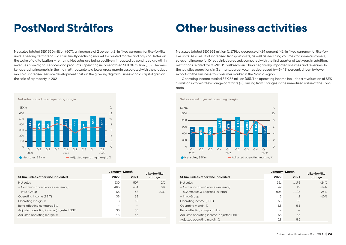# **PostNord Strålfors**

# **Other business activities**

Net sales totaled SEK 530 million (507), an increase of 2 percent (2) in fixed currency for like-for-like units. The long-term trend – a structurally declining market for printed matter and physical letters in the wake of digitalization – remains. Net sales are being positively impacted by continued growth in revenues from digital services and products. Operating income totaled SEK 36 million (38). The weaker operating income is in the main attributable to a lower gross margin associated with the product mix sold, increased service development costs in the growing digital business and a capital gain on the sale of a property in 2021.



|                                           | January-March |      | Like-for-like |  |
|-------------------------------------------|---------------|------|---------------|--|
| SEKm, unless otherwise indicated          | 2022          | 2021 | change        |  |
| Net sales                                 | 530           | 507  | 2%            |  |
| - Communication Services (external)       | 465           | 454  | $O\%$         |  |
| - Intra-Group                             | 65            | 53   | 23%           |  |
| Operating income (EBIT)                   | 36            | 38   |               |  |
| Operating margin, %                       | 6.8           | 7.5  |               |  |
| Items affecting comparability             |               |      |               |  |
| Adjusted operating income (adjusted EBIT) | 36            | 38   |               |  |
| Adjusted operating margin, %              | 6.8           | 7.5  |               |  |
|                                           |               |      |               |  |

Net sales totaled SEK 951 million (1,179), a decrease of -24 percent (41) in fixed currency for like-forlike units. As a result of increased transport costs, as well as declining volumes for some customers, sales and income for Direct Link decreased, compared with the first quarter of last year. In addition, restrictions related to COVID-19 outbreaks in China negatively impacted volumes and revenues. In the logistics operations in Germany, parcel volumes decreased by -6 (43) percent, driven by lower exports to the business-to-consumer market in the Nordic region.

Operating income totaled SEK 55 million (65). The operating income includes a revaluation of SEK 19 million in forward exchange contracts (–), arising from changes in the unrealized value of the contracts.



|                                           | January-March |                | Like-for-like |
|-------------------------------------------|---------------|----------------|---------------|
| SEKm, unless otherwise indicated          | 2022          | 2021           | change        |
| Net sales                                 | 951           | 1.179          | $-24%$        |
| - Communication Services (external)       | 42            | 49             | $-14%$        |
| - eCommerce & Logistics (external)        | 906           | 1.128          | $-25%$        |
| - Intra-Group                             | 3             | $\overline{c}$ | $-10%$        |
| Operating income (EBIT)                   | 55            | 65             |               |
| Operating margin, %                       | 5.8           | 5.5            |               |
| Items affecting comparability             |               |                |               |
| Adjusted operating income (adjusted EBIT) | 55            | 65             |               |
| Adjusted operating margin, %              | 5.8           | 5.5            |               |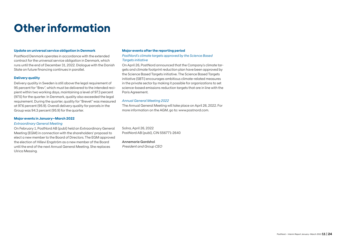# **Other information**

### **Update on universal service obligation in Denmark**

PostNord Denmark operates in accordance with the extended contract for the universal service obligation in Denmark, which runs until the end of December 31, 2022. Dialogue with the Danish State on future financing continues in parallel.

### **Delivery quality**

Delivery quality in Sweden is still above the legal requirement of 95 percent for "Brev", which must be delivered to the intended recipient within two working days, maintaining a level of 97.3 percent (97.5) for the quarter. In Denmark, quality also exceeded the legal requirement. During the quarter, quality for "Brevet" was measured at 97.6 percent (95.9). Overall delivery quality for parcels in the Group was 94.3 percent (95.9) for the quarter.

### **Major events in January–March 2022**

### *Extraordinary General Meeting*

On February 1, PostNord AB (publ) held an Extraordinary General Meeting (EGM) in connection with the shareholders' proposal to elect a new member to the Board of Directors. The EGM approved the election of Hillevi Engström as a new member of the Board until the end of the next Annual General Meeting. She replaces Ulrica Messing.

### **Major events after the reporting period**

*PostNord's climate targets approved by the Science Based Targets initiative*

On April 26, PostNord announced that the Company's climate targets and climate footprint reduction plan have been approved by the Science Based Targets initiative. The Science Based Targets initiative (SBTi) encourages ambitious climate-related measures in the private sector by making it possible for organizations to set science-based emissions reduction targets that are in line with the Paris Agreement.

### *Annual General Meeting 2022*

The Annual General Meeting will take place on April 26, 2022. For more information on the AGM, go to: www.postnord.com.

Solna, April 26, 2022 PostNord AB (publ), CIN 556771-2640

Annemarie Gardshol President and Group CEO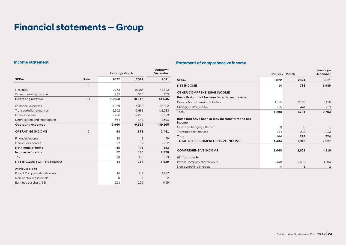# **Income statement**

|                                  |              | January-March |              |              |  |
|----------------------------------|--------------|---------------|--------------|--------------|--|
| <b>SEKm</b>                      | <b>Note</b>  | 2022          | 2021         | 2021         |  |
|                                  | $\mathbf{1}$ |               |              |              |  |
| Net sales                        |              | 9.772         | 10,187       | 40,693       |  |
| Other operating income           |              | 285           | 360          | 953          |  |
| <b>Operating revenue</b>         | 3            | 10,058        | 10,547       | 41,646       |  |
| Personnel expenses               |              | $-4.059$      | $-4.086$     | $-15,802$    |  |
| <b>Transportation expenses</b>   |              | $-2.952$      | $-2,683$     | $-11,083$    |  |
| Other expenses                   |              | $-2,286$      | $-2.260$     | $-9,683$     |  |
| Depreciation and impairments     |              | $-664$        | $-640$       | $-2,596$     |  |
| <b>Operating expenses</b>        |              | $-9,960$      | $-9,669$     | $-39,165$    |  |
| <b>OPERATING INCOME</b>          | 3            | 98            | 878          | 2,481        |  |
| Financial income                 |              | 18            | 8            | 49           |  |
| Financial expenses               |              | $-63$         | $-56$        | $-202$       |  |
| Net financial items              |              | $-45$         | $-48$        | $-153$       |  |
| Income before tax                |              | 52            | 830          | 2,328        |  |
| Tax                              |              | $-38$         | $-112$       | $-339$       |  |
| <b>NET INCOME FOR THE PERIOD</b> |              | 14            | 718          | 1,989        |  |
| Attributable to                  |              |               |              |              |  |
| Parent Company shareholders      |              | 14            | 717          | 1,987        |  |
| Non-controlling interests        |              | $\Omega$      | $\mathbf{1}$ | $\mathbf{2}$ |  |
| Earnings per share, SEK          |              | 0.01          | 0.36         | 0.99         |  |

# **Statement of comprehensive income**

|                                                             |         | January-March |                |  |  |
|-------------------------------------------------------------|---------|---------------|----------------|--|--|
|                                                             |         |               | December       |  |  |
| <b>SEK<sub>m</sub></b>                                      | 2022    | 2021          | 2021           |  |  |
| <b>NET INCOME</b>                                           | 14      | 718           | 1,989          |  |  |
| <b>OTHER COMPREHENSIVE INCOME</b>                           |         |               |                |  |  |
| Items that cannot be transferred to net income              |         |               |                |  |  |
| Revaluation of pension liabilities                          | 1,625   | 2,142         | 3,426          |  |  |
| Change in deferred tax                                      | $-335$  | $-441$        | $-723$         |  |  |
| Total                                                       | 1,290   | 1,701         | 2,703          |  |  |
| Items that have been or may be transferred to net<br>income |         |               |                |  |  |
| Cash flow hedging after tax                                 | $\circ$ | $\circ$       | $\mathbf{1}$   |  |  |
| <b>Translation differences</b>                              | 144     | 212           | 223            |  |  |
| Total                                                       | 144     | 212           | 224            |  |  |
| TOTAL OTHER COMPREHENSIVE INCOME                            | 1,434   | 1,913         | 2,927          |  |  |
|                                                             |         |               |                |  |  |
| <b>COMPREHENSIVE INCOME</b>                                 | 1,448   | 2,631         | 4,916          |  |  |
| Attributable to                                             |         |               |                |  |  |
| Parent Company shareholders                                 | 1,448   | 2,630         | 4.914          |  |  |
| Non-controlling interests                                   | 0       | 1             | $\overline{c}$ |  |  |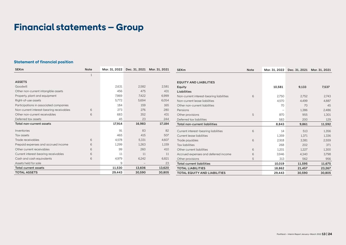# **Statement of financial position**

| <b>SEK<sub>m</sub></b>                   | Note |        | Mar. 31, 2022 Dec. 31, 2021 Mar. 31, 2021 |        | <b>SEKm</b>                              | Note |        | Mar. 31, 2022 Dec. 31, 2021 Mar. 31, 2021 |        |
|------------------------------------------|------|--------|-------------------------------------------|--------|------------------------------------------|------|--------|-------------------------------------------|--------|
|                                          |      |        |                                           |        |                                          |      |        |                                           |        |
| <b>ASSETS</b>                            |      |        |                                           |        | <b>EQUITY AND LIABILITIES</b>            |      |        |                                           |        |
| Goodwill                                 |      | 2,631  | 2,582                                     | 2,581  | Equity                                   |      | 10,581 | 9,133                                     | 7,537  |
| Other non-current intangible assets      |      | 456    | 475                                       | 431    | <b>Liabilities</b>                       |      |        |                                           |        |
| Property, plant and equipment            |      | 7,869  | 7,422                                     | 6,999  | Non-current interest-bearing liabilities | 6    | 2,750  | 2.752                                     | 2,743  |
| Right-of-use assets                      |      | 5.772  | 5,694                                     | 6,054  | Non-current lease liabilities            |      | 4,570  | 4.499                                     | 4,887  |
| Participations in associated companies   |      | 184    | 159                                       | 165    | Other non-current liabilities            |      | 70     | 70                                        | 45     |
| Non-current interest-bearing receivables | 6    | 273    | 276                                       | 280    | Pensions                                 |      |        | 1,386                                     | 2,486  |
| Other non-current receivables            | 6    | 683    | 352                                       | 431    | Other provisions                         | 5    | 870    | 955                                       | 1.301  |
| Deferred tax assets                      |      | 45     | 23                                        | 244    | Deferred tax liabilities                 |      | 583    | 200                                       | 129    |
| <b>Total non-current assets</b>          |      | 17,914 | 16,983                                    | 17,184 | <b>Total non-current liabilities</b>     |      | 8,843  | 9,861                                     | 11,592 |
| Inventories                              |      | 91     | 83                                        | 82     | Current interest-bearing liabilities     | 6    | 14     | 513                                       | 1,356  |
| Tax assets                               |      | 465    | 415                                       | 507    | Current lease liabilities                |      | 1,359  | 1,371                                     | 1,336  |
| Trade receivables                        | 6    | 4,578  | 5,331                                     | 4,607  | Trade payables                           | 6    | 2,918  | 3,381                                     | 2,559  |
| Prepaid expenses and accrued income      | 6    | 1,299  | 1,263                                     | 1,159  | <b>Tax liabilities</b>                   |      | 268    | 202                                       | 371    |
| Other current receivables                | 6    | 99     | 260                                       | 410    | Other current liabilities                | 6    | 1,201  | 1,227                                     | 1,300  |
| Current interest-bearing receivables     | 6    | 11     | 11                                        | 11     | Accrued expenses and deferred income     | 6    | 3,946  | 4,340                                     | 3,798  |
| Cash and cash equivalents                | 6    | 4,979  | 6.242                                     | 6,821  | Other provisions                         | 5    | 313    | 562                                       | 956    |
| Assets held for sale                     |      | 9      | $\qquad \qquad -$                         | 23     | <b>Total current liabilities</b>         |      | 10,019 | 11,595                                    | 11,675 |
| <b>Total current assets</b>              |      | 11,530 | 13,606                                    | 13,620 | <b>TOTAL LIABILITIES</b>                 |      | 18,862 | 21,457                                    | 23,267 |
| <b>TOTAL ASSETS</b>                      |      | 29,443 | 30,590                                    | 30,805 | <b>TOTAL EQUITY AND LIABILITIES</b>      |      | 29,443 | 30.590                                    | 30,805 |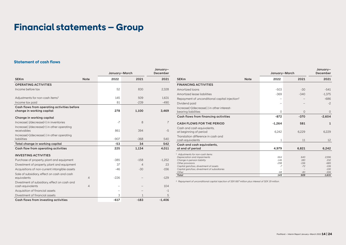# **Statement of cash flows**

|                                                                          |                |        | January-March  |                |  |
|--------------------------------------------------------------------------|----------------|--------|----------------|----------------|--|
| <b>SEKm</b>                                                              | <b>Note</b>    | 2022   | 2021           | 2021           |  |
| <b>OPERATING ACTIVITIES</b>                                              |                |        |                |                |  |
| Income before tax                                                        |                | 52     | 830            | 2,328          |  |
| Adjustments for non-cash items <sup>1</sup>                              |                | 145    | 509            | 1,631          |  |
| Income tax paid                                                          |                | 81     | $-239$         | $-490$         |  |
| Cash flows from operating activities before<br>change in working capital |                | 278    | 1,100          | 3,469          |  |
| Change in working capital                                                |                |        |                |                |  |
| Increase(-)/decrease(+) in inventories                                   |                | $-7$   | 8              | $\overline{7}$ |  |
| Increase(-)/decrease(+) in other operating<br>receivables                |                | 861    | 394            | $-5$           |  |
| Increase(+)/decrease(-) in other operating<br>liabilities                |                | $-907$ | $-368$         | 540            |  |
| Total change in working capital                                          |                | -53    | 34             | 542            |  |
| Cash flow from operating activities                                      |                | 225    | 1,134          | 4,011          |  |
| <b>INVESTING ACTIVITIES</b>                                              |                |        |                |                |  |
| Purchase of property, plant and equipment                                |                | $-385$ | $-158$         | $-1.252$       |  |
| Divestment of property, plant and equipment                              |                | 37     | $\overline{4}$ | 23             |  |
| Acquisitions of non-current intangible assets                            |                | $-46$  | $-30$          | $-156$         |  |
| Sale of subsidiary, effect on cash and cash<br>equivalents               | $\overline{4}$ | $-226$ |                | $-129$         |  |
| Divestment of subsidiary, effect on cash and<br>cash equivalents         | $\overline{4}$ |        |                | 104            |  |
| Acquisition of financial assets                                          |                |        |                | $-1$           |  |
| Divestment of financial assets                                           |                | 3      | 1              | 5              |  |
| Cash flows from investing activities                                     |                | $-617$ | $-183$         | $-1.406$       |  |

January–

|                                                                                          |             | January-March  |                 | January-<br>December |
|------------------------------------------------------------------------------------------|-------------|----------------|-----------------|----------------------|
| <b>SEKm</b>                                                                              | <b>Note</b> | 2022           | 2021            | 2021                 |
| <b>FINANCING ACTIVITIES</b>                                                              |             |                |                 |                      |
| Amortized loans                                                                          |             | $-503$         | $-30$           | $-541$               |
| Amortized lease liabilities                                                              |             | $-369$         | $-340$          | $-1,375$             |
| Repayment of unconditional capital injection <sup>2</sup>                                |             |                |                 | $-686$               |
| Dividend paid                                                                            |             |                |                 | $-2$                 |
| Increase(+)/decrease(-) in other interest-                                               |             |                |                 |                      |
| bearing liabilities                                                                      |             | $\Omega$       | $\Omega$        | 0                    |
| Cash flows from financing activities                                                     |             | $-872$         | $-370$          | $-2,604$             |
| <b>CASH FLOWS FOR THE PERIOD</b>                                                         |             | $-1,264$       | 581             | 1                    |
| Cash and cash equivalents.                                                               |             |                |                 |                      |
| at beginning of period                                                                   |             | 6,242          | 6,229           | 6,229                |
| Translation difference in cash and                                                       |             |                |                 |                      |
| cash equivalents                                                                         |             | 1              | 11              | 12                   |
| Cash and cash equivalents,                                                               |             |                |                 |                      |
| at end of period                                                                         |             | 4,979          | 6,821           | 6,242                |
| <sup>1</sup> Adjustments for non-cash items:                                             |             |                |                 |                      |
| Depreciation and impairments                                                             |             | 664            | 640             | 2.596                |
| Change in pension liability                                                              |             | $-146$         | 180             | 232                  |
| Other provisions                                                                         |             | $-298$<br>$-7$ | $-156$<br>$-72$ | $-685$               |
| Capital gain/loss, divestment of assets<br>Capital gain/loss, divestment of subsidiaries |             |                |                 | $-106$<br>$-100$     |
| Other                                                                                    |             | $-68$          | $-83$           | $-306$               |
| <b>Total</b>                                                                             |             | 145            | 509             | 1,631                |

<sup>2</sup>*Repayment of unconditional capital injection of SEK 667 million plus interest of SEK 19 million.*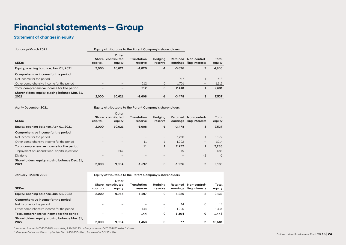# **Statement of changes in equity**

| January-March 2021                                     |                               | Equity attributable to the Parent Company's shareholders |                               |                           |                      |                                |                 |
|--------------------------------------------------------|-------------------------------|----------------------------------------------------------|-------------------------------|---------------------------|----------------------|--------------------------------|-----------------|
| <b>SEKm</b>                                            | Share<br>capital <sup>1</sup> | Other<br>contributed<br>equity                           | <b>Translation</b><br>reserve | <b>Hedaina</b><br>reserve | Retained<br>earninas | Non-control-<br>ling interests | Total<br>equity |
| Equity, opening balance, Jan. 01, 2021                 | 2.000                         | 10.621                                                   | $-1.820$                      | $-1$                      | $-5.896$             | $\overline{2}$                 | 4.906           |
| Comprehensive income for the period                    |                               |                                                          |                               |                           |                      |                                |                 |
| Net income for the period                              |                               |                                                          |                               |                           | 717                  |                                | 718             |
| Other comprehensive income for the period              |                               | -                                                        | 212                           | $\circ$                   | 1.701                | $\qquad \qquad -$              | 1,913           |
| Total comprehensive income for the period              | -                             | $\hspace{0.1mm}-\hspace{0.1mm}$                          | 212                           | 0                         | 2.418                | 1                              | 2,631           |
| Shareholders' equity, closing balance Mar. 31.<br>2021 | 2.000                         | 10,621                                                   | $-1.608$                      | $-1$                      | $-3.478$             | 3                              | 7,537           |

April–December 2021 Equity attributable to the Parent Company's shareholders

|                                                           |                               | Other                          |                        |                           |                      |                                |                 |
|-----------------------------------------------------------|-------------------------------|--------------------------------|------------------------|---------------------------|----------------------|--------------------------------|-----------------|
| <b>SEKm</b>                                               | Share<br>capital <sup>1</sup> | contributed<br>equity          | Translation<br>reserve | <b>Hedaina</b><br>reserve | Retained<br>earninas | Non-control-<br>ling interests | Total<br>equity |
| Equity, opening balance, Apr. 01, 2021                    | 2.000                         | 10.621                         | $-1.608$               | $-1$                      | $-3.478$             | 3                              | 7,537           |
| Comprehensive income for the period                       |                               |                                |                        |                           |                      |                                |                 |
| Net income for the period                                 |                               |                                |                        | —                         | 1.270                |                                | 1,272           |
| Other comprehensive income for the period                 |                               | $\qquad \qquad \longleftarrow$ | 11                     |                           | 1.002                | $\qquad \qquad -$              | 1,014           |
| Total comprehensive income for the period                 |                               |                                | 11                     | Ŧ.                        | 2.272                | 1                              | 2,286           |
| Repayment of unconditional capital injection <sup>2</sup> |                               | $-667$                         |                        | -                         | $-19$                | $\overline{\phantom{0}}$       | $-686$          |
| Dividend                                                  | $\qquad \qquad$               | $\qquad \qquad \longleftarrow$ |                        | -                         |                      | $-2$                           | $-2$            |
| Shareholders' equity, closing balance Dec. 31,            |                               |                                |                        |                           |                      |                                |                 |
| 2021                                                      | 2.000                         | 9.954                          | $-1.597$               | $\mathbf{0}$              | $-1.226$             | $\overline{2}$                 | 9,133           |

| January-March 2022                                     | Equity attributable to the Parent Company's shareholders |                                |                        |                    |                      |                                |                 |
|--------------------------------------------------------|----------------------------------------------------------|--------------------------------|------------------------|--------------------|----------------------|--------------------------------|-----------------|
| <b>SEKm</b>                                            | Share<br>capital <sup>1</sup>                            | Other<br>contributed<br>equity | Translation<br>reserve | Hedaina<br>reserve | Retained<br>earninas | Non-control-<br>ling interests | Total<br>equity |
| Equity, opening balance, Jan. 01, 2022                 | 2.000                                                    | 9.954                          | $-1.597$               | 0                  | $-1.226$             | 2                              | 9,133           |
| Comprehensive income for the period                    |                                                          |                                |                        |                    |                      |                                |                 |
| Net income for the period                              |                                                          |                                |                        |                    | 14                   | $\Omega$                       | 14              |
| Other comprehensive income for the period              | $\overline{\phantom{a}}$                                 | $\qquad \qquad$                | 144                    | 0                  | 1.290                | -                              | 1,434           |
| Total comprehensive income for the period              | -                                                        | -                              | 144                    | 0                  | 1.304                | 0                              | 1.448           |
| Shareholders' equity, closing balance Mar. 31,<br>2022 | 2.000                                                    | 9.954                          | $-1.453$               | 0                  | 77                   |                                | 10.581          |

<sup>1</sup> *Number of shares is 2,000,000,001, comprising 1,524,905,971 ordinary shares and 475,094,030 series B shares.*

<sup>2</sup> *Repayment of unconditional capital injection of SEK 667 million plus interest of SEK 19 million.* PostNord – Interim Report January–March 2022 **15 | 24**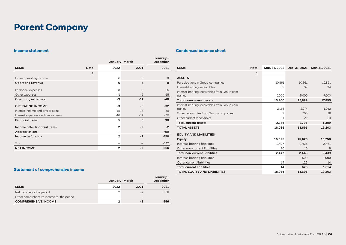# **Parent Company**

# **Income statement**

|                                     |              | January-March            | January-<br>December |        |
|-------------------------------------|--------------|--------------------------|----------------------|--------|
| <b>SEKm</b>                         | <b>Note</b>  | 2022                     | 2021                 | 2021   |
|                                     | $\mathbf{1}$ |                          |                      |        |
| Other operating income              |              | 6                        | 3                    | 8      |
| <b>Operating revenue</b>            |              | 6                        | 3                    | 8      |
| Personnel expenses                  |              | -8                       | $-5$                 | $-25$  |
| Other expenses                      |              | $-1$                     | $-6$                 | $-15$  |
| <b>Operating expenses</b>           |              | -9                       | $-11$                | $-40$  |
| <b>OPERATING INCOME</b>             |              | -3                       | $-8$                 | $-32$  |
| Interest income and similar items   |              | 15                       | 18                   | 80     |
| Interest expenses and similar items |              | $-10$                    | $-12$                | $-50$  |
| <b>Financial items</b>              |              | 5                        | 6                    | 30     |
| Income after financial items        |              | $\overline{2}$           | $-2$                 | $-2$   |
| <b>Appropriations</b>               |              |                          |                      | 700    |
| Income before tax                   |              | $\overline{2}$           | $-2$                 | 698    |
| Tax                                 |              | $\overline{\phantom{0}}$ |                      | $-142$ |
| <b>NET INCOME</b>                   |              | $\overline{2}$           | $-2$                 | 556    |

# **Condensed balance sheet**

| <b>SEK<sub>m</sub></b>                       | <b>Note</b> | Mar. 31, 2022 |        | Dec. 31, 2021 Mar. 31, 2021 |
|----------------------------------------------|-------------|---------------|--------|-----------------------------|
|                                              | 1           |               |        |                             |
| <b>ASSETS</b>                                |             |               |        |                             |
| Participations in Group companies            |             | 10.861        | 10.861 | 10.861                      |
| Interest-bearing receivables                 |             | 39            | 39     | 34                          |
| Interest-bearing receivables from Group com- |             |               |        |                             |
| panies                                       |             | 5,000         | 5,000  | 7,000                       |
| Total non-current assets                     |             | 15,900        | 15,899 | 17,895                      |
| Interest-bearing receivables from Group com- |             |               |        |                             |
| panies                                       |             | 2.166         | 2.074  | 1,262                       |
| Other receivables from Group companies       |             | 9             | 700    | 18                          |
| Other current receivables                    |             | 11            | 22     | 29                          |
| <b>Total current assets</b>                  |             | 2,186         | 2,796  | 1,309                       |
| <b>TOTAL ASSETS</b>                          |             | 18,086        | 18,695 | 19,203                      |
| <b>EQUITY AND LIABILITIES</b>                |             |               |        |                             |
| Equity                                       |             | 15,625        | 15,623 | 15,750                      |
| Interest-bearing liabilities                 |             | 2.437         | 2.436  | 2,431                       |
| Other non-current liabilities                |             | 10            | 10     | 8                           |
| <b>Total non-current liabilities</b>         |             | 2,447         | 2.446  | 2,439                       |
| Interest-bearing liabilities                 |             |               | 500    | 1,000                       |
| Other current liabilities                    |             | 14            | 125    | 14                          |
| <b>Total current liabilities</b>             |             | 14            | 626    | 1,014                       |
| <b>TOTAL EQUITY AND LIABILITIES</b>          |             | 18,086        | 18,695 | 19,203                      |

# **Statement of comprehensive income**

|                                           | January-March            | January–<br>December |      |
|-------------------------------------------|--------------------------|----------------------|------|
| <b>SEKm</b>                               | 2022                     | 2021                 | 2021 |
| Net income for the period                 | 2                        | -2                   | 556  |
| Other comprehensive income for the period | $\overline{\phantom{a}}$ | -                    |      |
| <b>COMPREHENSIVE INCOME</b>               |                          |                      | 556  |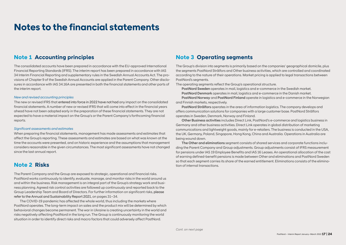# **Notes to the financial statements**

# **Note 1 Accounting principles**

The consolidated accounts have been prepared in accordance with the EU-approved International Financial Reporting Standards (IFRS). The interim report has been prepared in accordance with IAS 34 Interim Financial Reporting and supplementary rules in the Swedish Annual Accounts Act. The provisions of Chapter 9 of the Swedish Annual Accounts are applied in the Parent Company. Other disclosures in accordance with IAS 34.16A are presented in both the financial statements and other parts of the interim report.

### *New and revised accounting principles*

The new or revised IFRS that entered into force in 2022 have not had any impact on the consolidated financial statements. A number of new or revised IFRS that will come into effect in the financial years ahead have not been adopted early in the preparation of these financial statements. They are not expected to have a material impact on the Group's or the Parent Company's forthcoming financial reports.

#### *Significant assessments and estimates*

When preparing the financial statements, management has made assessments and estimates that affect the Group's reporting. These assessments and estimates are based on what was known at the time the accounts were presented, and on historic experience and the assumptions that management considers reasonable in the given circumstances. The most significant assessments have not changed since the last annual report.

# **Note 2 Risks**

The Parent Company and the Group are exposed to strategic, operational and financial risks. PostNord works continuously to identify, evaluate, manage, and monitor risks in the world around us and within the business. Risk management is an integral part of the Group's strategy work and business planning. Agreed risk control activities are followed up continuously and reported back to the Group Leadership Team and Board of Directors. For further information on significant risks, please refer to the Annual and Sustainability Report 2021, on pages 31–34.

The COVID-19 pandemic has affected the whole world, thus including the markets where PostNord operates. The long-term impact on sales and the product mix will be determined by which behavioral changes become permanent. The war in Ukraine is creating uncertainty in the world and risks negatively affecting PostNord in the long run. The Group is continuously monitoring the world situation in order to identify direct risks and macro factors that could adversely affect PostNord.

# **Note 3 Operating segments**

The Group's division into segments is primarily based on the companies' geographical domicile, plus the segments PostNord Strålfors and Other business activities, which are controlled and coordinated according to the nature of their operations. Market pricing is applied to legal transactions between PostNord's segments.

The operating segments reflect the Group's operational structure.

PostNord Sweden operates in mail, logistics and e-commerce in the Swedish market. PostNord Denmark operates in mail, logistics and e-commerce in the Danish market. PostNord Norway and PostNord Finland operate in logistics and e-commerce in the Norwegian and Finnish markets, respectively.

PostNord Strålfors operates in the area of information logistics. The company develops and offers communication solutions for companies with a large customer base. PostNord Strålfors operates in Sweden, Denmark, Norway and Finland.

Other Business activities includes Direct Link, PostNord's e-commerce and logistics business in Germany and other business activities. Direct Link operates in global distribution of marketing communications and lightweight goods, mainly for e-retailers. The business is conducted in the USA, the UK, Germany, Poland, Singapore, Hong Kong, China and Australia. Operations in Australia are being wound down.

The Other and eliminations segment consists of shared services and corporate functions including the Parent Company and Group adjustments. Group adjustments consist of IFRS measurement for pensions under IAS 19 Employee Benefits and IAS 16 Leases. An operational allocation of the cost of earning defined-benefit pensions is made between Other and eliminations and PostNord Sweden so that each segment carries its share of the earned entitlement. Eliminations consists of the elimination of internal transactions.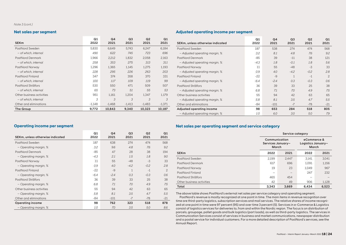### *Note 3 (cont.)*

# **Net sales per segment**

| <b>SEK<sub>m</sub></b>    | Q1<br>2022 | Q4<br>2021 | Q <sub>3</sub><br>2021 | Q <sub>2</sub><br>2021 | Q1<br>2021 |
|---------------------------|------------|------------|------------------------|------------------------|------------|
| PostNord Sweden           | 5,830      | 6,649      | 5,743                  | 6,247                  | 6.184      |
| - of which, internal      | 490        | 622        | 745                    | 723                    | 696        |
| PostNord Denmark          | 1,966      | 2,212      | 1,832                  | 2,058                  | 2.163      |
| - of which, internal      | 258        | 353        | 275                    | 313                    | 311        |
| PostNord Norway           | 1,296      | 1,365      | 1,145                  | 1,275                  | 1,193      |
| - of which, internal      | 228        | 295        | 226                    | 263                    | 203        |
| PostNord Finland          | 347        | 374        | 358                    | 370                    | 331        |
| - of which, internal      | 100        | 117        | 109                    | 119                    | 99         |
| PostNord Strålfors        | 530        | 550        | 471                    | 509                    | 507        |
| - of which, internal      | 65         | 73         | 51                     | 55                     | 53         |
| Other business activities | 951        | 1.161      | 1.204                  | 1.347                  | 1.179      |
| - of which, internal      | 3          | 3          | 3                      | 3                      | 3          |
| Other and eliminations    | $-1,148$   | $-1,468$   | $-1,413$               | $-1,483$               | $-1,371$   |
| The Group                 | 9.772      | 10.843     | 9.340                  | 10.323                 | 10.187     |

# **Adjusted operating income per segment**

| SEKm, unless otherwise indicated | Q1<br>2022 | Q <sub>4</sub><br>2021 | Q <sub>3</sub><br>2021 | Q <sub>2</sub><br>2021 | Q <sub>1</sub><br>2021 |
|----------------------------------|------------|------------------------|------------------------|------------------------|------------------------|
| PostNord Sweden                  | 187        | 538                    | 274                    | 474                    | 568                    |
| - Adjusted operating margin, %   | 3.2        | 8.1                    | 4.8                    | 7.6                    | 9.2                    |
| <b>PostNord Denmark</b>          | $-85$      | 39                     | $-11$                  | 38                     | 121                    |
| - Adjusted operating margin, %   | $-4.3$     | 1.8                    | $-0.1$                 | 1.8                    | 5.6                    |
| PostNord Norway                  | 11         | 55                     | $-48$                  | $-3$                   | 33                     |
| - Adjusted operating margin, %   | 0.9        | 4.0                    | $-4.2$                 | $-0.2$                 | 2.8                    |
| PostNord Finland                 | $-22$      | $-9$                   | $\mathbf{1}$           | $-1$                   | $\overline{c}$         |
| - Adjusted operating margin, %   | $-6.4$     | $-2.4$                 | 0.3                    | $-0.3$                 | 0.6                    |
| PostNord Strålfors               | 36         | 39                     | 33                     | 25                     | 38                     |
| - Adjusted operating margin, %   | 6.8        | 7.1                    | 7.0                    | 4.9                    | 7.5                    |
| Other business activities        | 55         | 94                     | 42                     | 63                     | 65                     |
| - Adjusted operating margin, %   | 5.8        | 8.1                    | 3.5                    | 4.7                    | 5.5                    |
| Other and eliminations           | -84        | $-101$                 | $-7$                   | $-78$                  | $-21$                  |
| Adjusted operating income        | 98         | 653                    | 284                    | 518                    | 805                    |
| - Adjusted operating margin, %   | 1.0        | 6.0                    | 3.0                    | 5.0                    | 7.9                    |

# **Operating income per segment**

| SEKm, unless otherwise indicated | Q1<br>2022 | Q4<br>2021 | Q <sub>3</sub><br>2021 | Q <sub>2</sub><br>2021 | Q1<br>2021     |
|----------------------------------|------------|------------|------------------------|------------------------|----------------|
| PostNord Sweden                  | 187        | 638        | 274                    | 474                    | 568            |
| - Operating margin, %            | 3.2        | 9.6        | 4.8                    | 7.6                    | 9.2            |
| PostNord Denmark                 | $-85$      | 47         | 28                     | 38                     | 194            |
| - Operating margin, %            | $-4.3$     | 2.1        | 1.5                    | 1.8                    | 9.0            |
| PostNord Norway                  | 11         | 55         | $-48$                  | $-3$                   | 33             |
| - Operating margin, %            | 0.9        | 4.0        | $-4.2$                 | $-0.2$                 | 2.8            |
| PostNord Finland                 | $-22$      | $-9$       | $\mathbf{1}$           | $-1$                   | $\overline{2}$ |
| - Operating margin, %            | $-6.4$     | $-2.4$     | 0.3                    | $-0.3$                 | 0.6            |
| PostNord Strålfors               | 36         | 39         | 33                     | 25                     | 38             |
| - Operating margin, %            | 6.8        | 7.1        | 7.0                    | 4.9                    | 7.5            |
| Other business activities        | 55         | 94         | 42                     | 63                     | 65             |
| - Operating margin, %            | 5.8        | 8.1        | 3.5                    | 4.7                    | 5.5            |
| Other and eliminations           | -84        | $-101$     | $-7$                   | $-78$                  | $-21$          |
| <b>Operating income</b>          | 98         | 762        | 323                    | 518                    | 878            |
| - Operating margin, %            | 1.0        | 7.0        | 3.5                    | 5.0                    | 8.6            |

# **Net sales per operating segment and service category**

|                           | Service category        |                                                                                           |       |       |  |
|---------------------------|-------------------------|-------------------------------------------------------------------------------------------|-------|-------|--|
|                           |                         | Communication<br>eCommerce &<br>Services January-<br>Logistics January–<br>March<br>March |       |       |  |
| <b>SEK<sub>m</sub></b>    | 2022                    | 2021                                                                                      | 2022  | 2021  |  |
| PostNord Sweden           | 2.199                   | 2.447                                                                                     | 3.141 | 3.041 |  |
| PostNord Denmark          | 617                     | 696                                                                                       | 1.091 | 1,156 |  |
| PostNord Norway           | 19                      | 23                                                                                        | 1.049 | 967   |  |
| PostNord Finland          |                         | —                                                                                         | 247   | 232   |  |
| PostNord Strålfors        | 465                     | 454                                                                                       |       |       |  |
| Other business activities | 42<br>49                |                                                                                           | 906   | 1,128 |  |
| Total                     | 3.343<br>6.434<br>3.669 |                                                                                           |       | 6.523 |  |

The above table shows PostNord's external net sales per service category and operating segment.

PostNord's revenue is mostly recognized at one point in time. The main items in revenue recognition over time are third-party logistics, subscription services and mail services. The relative shares of income recognized at one point in time were 97 percent (95) and over time 3 percent (5). Services in e-Commerce & Logistics consist of logistics services for deliveries to, from and within the Nordic region. The focus is on distribution of parcels, groupage, pallet goods and bulk logistics (part loads), as well as third-party logistics. The services in Communication Services consist of services in business and market communications, newspaper distribution and a postal service for individual customers. For a more detailed description of PostNord's services, see the Annual Report.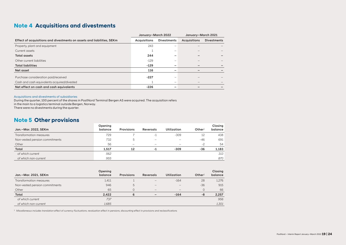# **Note 4 Acquisitions and divestments**

|                                                                        | January-March 2022 |                    | January-March 2021  |                    |
|------------------------------------------------------------------------|--------------------|--------------------|---------------------|--------------------|
| Effect of acquisitions and divestments on assets and liabilities, SEKm | Acquisitions       | <b>Divestments</b> | <b>Acquisitions</b> | <b>Divestments</b> |
| Property, plant and equipment                                          | 243                |                    |                     |                    |
| Current assets                                                         |                    | -                  |                     |                    |
| <b>Total assets</b>                                                    | 244                |                    |                     |                    |
| Other current liabilities                                              | $-129$             |                    |                     |                    |
| <b>Total liabilities</b>                                               | $-129$             |                    |                     |                    |
| Net asset                                                              | 116                |                    |                     |                    |
| Purchase consideration paid/received                                   | -227               |                    |                     |                    |
| Cash and cash equivalents acquired/divested                            |                    | -                  |                     |                    |
| Net effect on cash and cash equivalents                                | $-226$             |                    |                     |                    |

#### Acquisitions and divestments of subsidiaries

During the quarter, 100 percent of the shares in PostNord Terminal Bergen AS were acquired. The acquisition refers

in the main to a logistics terminal outside Bergen, Norway.

There were no divestments during the quarter.

# **Note 5 Other provisions**

| Jan.-Mar. 2022, SEKm           | Opening<br>balance | <b>Provisions</b> | Reversals | Utilization | Other <sup>1</sup> | Closing<br>balance |
|--------------------------------|--------------------|-------------------|-----------|-------------|--------------------|--------------------|
| <b>Transformation measures</b> | 729                |                   | $-1$      | $-309$      | 12                 | 438                |
| Non-vested pension commitments | 732                | 5                 |           |             | -46                | 691                |
| Other                          | 56                 |                   | -         |             | $-2$               | 54                 |
| Total                          | 1,517              | 12                | -1        | $-309$      | -36                | 1,183              |
| of which current               | 562                |                   |           |             |                    | 313                |
| of which non-current           | 955                |                   |           |             |                    | 870                |

|                                | Opening |            |                                 |                          |              | Closing |
|--------------------------------|---------|------------|---------------------------------|--------------------------|--------------|---------|
| Jan.-Mar. 2021, SEKm           | balance | Provisions | Reversals                       | <b>Utilization</b>       | $O$ ther $1$ | balance |
| Transformation measures        | 1,411   |            | $\hspace{0.1mm}-\hspace{0.1mm}$ | $-164$                   | 28           | 1,276   |
| Non-vested pension commitments | 946     | $\circ$    | $\hspace{0.1mm}-\hspace{0.1mm}$ | $\overline{\phantom{a}}$ | $-36$        | 915     |
| Other                          | 65      |            | $\hspace{0.1mm}-\hspace{0.1mm}$ | $\overline{\phantom{a}}$ | 0            | 66      |
| Total                          | 2.422   | 6          | $\qquad \qquad -$               | $-164$                   | -8           | 2,257   |
| of which current               | 737     |            |                                 |                          |              | 956     |
| of which non-current           | 1,685   |            |                                 |                          |              | 1,301   |

<sup>1</sup> *Miscellaneous includes translation effect of currency fluctuations, revaluation effect in pensions, discounting effect in provisions and reclassifications.*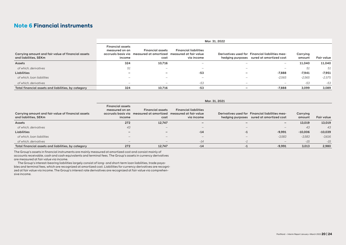# **Note 6 Financial instruments**

|                                                                             | Mar. 31, 2022                                       |                                                                             |                                                                      |                                 |                                                                            |                    |            |  |  |
|-----------------------------------------------------------------------------|-----------------------------------------------------|-----------------------------------------------------------------------------|----------------------------------------------------------------------|---------------------------------|----------------------------------------------------------------------------|--------------------|------------|--|--|
| Carrying amount and fair value of financial assets<br>and liabilities. SEKm | <b>Financial assets</b><br>measured on an<br>income | <b>Financial assets</b><br>accruals basis via measured at amortized<br>cost | <b>Financial liabilities</b><br>measured at fair value<br>via income | hedging purposes                | Derivatives used for Financial liabilities mea-<br>sured at amortized cost | Carrying<br>amount | Fair value |  |  |
| Assets                                                                      | 324                                                 | 10.716                                                                      | $\overline{\phantom{a}}$                                             | $\overline{\phantom{a}}$        |                                                                            | 11,040             | 11.040     |  |  |
| of which, derivatives                                                       | 51                                                  | $\overline{\phantom{m}}$                                                    | $\hspace{0.1mm}-\hspace{0.1mm}$                                      | $\hspace{0.1mm}-\hspace{0.1mm}$ | $\overline{\phantom{0}}$                                                   | 51                 | 51         |  |  |
| <b>Liabilities</b>                                                          |                                                     |                                                                             | $-53$                                                                |                                 | $-7.888$                                                                   | $-7,941$           | $-7,951$   |  |  |
| of which, loan liabilities                                                  |                                                     |                                                                             | $\overline{\phantom{a}}$                                             | $\overline{\phantom{a}}$        | $-2,565$                                                                   | $-2,565$           | $-2,575$   |  |  |
| of which, derivatives                                                       |                                                     |                                                                             | $-53$                                                                |                                 |                                                                            | -53                | -53        |  |  |
| Total financial assets and liabilities, by category                         | 324                                                 | 10.716                                                                      | $-53$                                                                |                                 | $-7.888$                                                                   | 3,099              | 3.089      |  |  |

|                                                                             | Mar. 31, 2021                                       |                                                                                                    |                                            |                          |                                                                                             |                    |                   |  |  |
|-----------------------------------------------------------------------------|-----------------------------------------------------|----------------------------------------------------------------------------------------------------|--------------------------------------------|--------------------------|---------------------------------------------------------------------------------------------|--------------------|-------------------|--|--|
| Carrying amount and fair value of financial assets<br>and liabilities, SEKm | <b>Financial assets</b><br>measured on an<br>income | <b>Financial assets</b><br>accruals basis via measured at amortized measured at fair value<br>cost | <b>Financial liabilities</b><br>via income |                          | Derivatives used for Financial liabilities mea-<br>hedging purposes sured at amortized cost | Carrying<br>amount | <b>Fair value</b> |  |  |
| Assets                                                                      | 272                                                 | 12,747                                                                                             | $\overline{\phantom{m}}$                   | $\overline{\phantom{m}}$ | $\overline{\phantom{a}}$                                                                    | 13,019             | 13,019            |  |  |
| of which, derivatives                                                       | 43                                                  | $\overline{\phantom{a}}$                                                                           | $\overline{\phantom{a}}$                   | $\qquad \qquad -$        | $\hspace{0.1mm}-\hspace{0.1mm}$                                                             | 43                 | 43                |  |  |
| Liabilities                                                                 |                                                     |                                                                                                    | $-14$                                      | $-1$                     | $-9.991$                                                                                    | $-10.006$          | $-10,039$         |  |  |
| of which, loan liabilities                                                  | -                                                   | $\overline{\phantom{a}}$                                                                           | $\qquad \qquad -$                          | $\qquad \qquad -$        | $-3,583$                                                                                    | $-3,583$           | $-3,616$          |  |  |
| of which, derivatives                                                       | $\overline{\phantom{a}}$                            |                                                                                                    | $-14$                                      | $\qquad \qquad =$        |                                                                                             | $-15$              | $-15$             |  |  |
| Total financial assets and liabilities, by category                         | 272                                                 | 12.747                                                                                             | $-14$                                      | -1                       | $-9,991$                                                                                    | 3,013              | 2,980             |  |  |

The Group's assets in financial instruments are mainly measured at amortized cost and consist mainly of accounts receivable, cash and cash equivalents and terminal fees. The Group's assets in currency derivatives are measured at fair value via income.

The Group's interest-bearing liabilities largely consist of long- and short-term loan liabilities, trade payables and terminal fees, which are recognized at amortized cost. Liabilities for currency derivatives are recognized at fair value via income. The Group's interest rate derivatives are recognized at fair value via comprehensive income.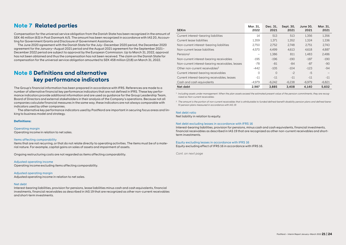# **Note 7 Related parties**

Compensation for the universal service obligation from the Danish State has been recognized in the amount of SEK 46 million (63) in Post Danmark A/S. The amount has been recognized in accordance with IAS 20, Accounting for Government Grants and Disclosure of Government Assistance.

The June 2020 agreement with the Danish State for the July–December 2020 period, the December 2020 agreement for the January–August 2021 period and the August 2021 agreement for the September 2021– December 2022 period are subject to approval by the European Commission. Up to March 31, 2022, approval has not been obtained and thus the compensation has not been received. The claim on the Danish State for compensation for the universal service obligation amounted to SEK 458 million (218) on March 31, 2022.

# **Note 8 Definitions and alternative key performance indicators**

The Group's financial information has been prepared in accordance with IFRS. References are made to a number of alternative financial key performance indicators that are not defined in IFRS. These key performance indicators provide additional information and are used as guidance for the Group Leadership Team, Board of Directors and external stakeholders in their analysis of the Company's operations. Because not all companies calculate financial measures in the same way, these indicators are not always comparable with indicators used by other companies.

The alternative key performance indicators used by PostNord are important in securing focus areas and linking to business model and strategy.

#### **Definitions:**

### Operating margin

Operating income in relation to net sales.

#### Items affecting comparability

Items that are not recurring, or that do not relate directly to operating activities. The items must be of a material nature. For example, capital gains on sales of assets and impairment of assets.

Ongoing restructuring costs are not regarded as items affecting comparability.

#### Adjusted operating income

Operating income excluding items affecting comparability.

Adjusted operating margin Adjusted operating income in relation to net sales.

#### Net debt

Interest-bearing liabilities, provision for pensions, lease liabilities minus cash and cash equivalents, financial investments, financial receivables as described in IAS 19 that are recognized as other non-current receivables and short-term investments.

| <b>SEK<sub>m</sub></b>                           | Mar. 31,<br>2022 | Dec. 31,<br>2021 | Sept. 30,<br>2021 | June 30,<br>2021 | Mar. 31.<br>2021 |
|--------------------------------------------------|------------------|------------------|-------------------|------------------|------------------|
| Current interest-bearing liabilities             | 14               | 513              | 513               | 1.356            | 1.356            |
| Current lease liabilities                        | 1.359            | 1.371            | 1.352             | 1.324            | 1.336            |
| Non-current interest-bearing liabilities         | 2.750            | 2.752            | 2.748             | 2.751            | 2.743            |
| Non-current lease liabilities                    | 4.570            | 4.499            | 4.613             | 4.618            | 4,887            |
| Pensions <sup>1</sup>                            | -                | 1.386            | 811               | 1.483            | 2.486            |
| Non-current interest-bearing receivables         | $-195$           | $-196$           | $-190$            | $-187$           | $-190$           |
| Non-current interest-bearing receivables, leases | $-78$            | $-81$            | $-84$             | $-87$            | $-90$            |
| Other non-current receivables <sup>2</sup>       | $-442$           | $-105$           | $-104$            | $-123$           | $-94$            |
| Current interest-bearing receivables             | $\Omega$         | $\Omega$         | $-2$              | $-5$             |                  |
| Current interest-bearing receivables, leases     | $-11$            | $-11$            | $-11$             | $-11$            | $-11$            |
| Cash and cash equivalents                        | $-4.979$         | $-6.242$         | $-6.238$          | $-6.979$         | $-6.821$         |
| Net debt                                         | 2.987            | 3.885            | 3.408             | 4.140            | 5.602            |

<sup>1</sup> I*ncluding assets under management. When the plan assets exceed the estimated present value of the pension commitments, they are recognized as Non-current receivables.*

<sup>2</sup> The amount is the portion of non-current receivables that is attributable to funded defined-benefit disability pension plans and defined-bene*fit pension plans measured in accordance with IAS 19.*

### Net debt ratio

Net liability in relation to equity.

#### Net debt excluding leases in accordance with IFRS 16

Interest-bearing liabilities, provision for pensions, minus cash and cash equivalents, financial investments, financial receivables as described in IAS 19 that are recognized as other non-current receivables and shortterm investments.

#### Equity excluding leases in accordance with IFRS 16

Equity excluding effect of IFRS 16 in accordance with IFRS 16.

*Cont. on next page*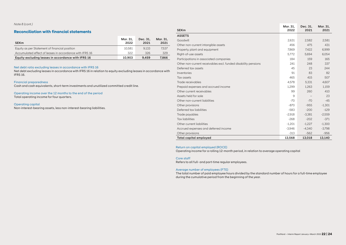*Note 8 (cont.)*

# **Reconciliation with financial statements**

| <b>SEKm</b>                                             | Mar. 31.<br>2022 | Dec. 31.<br>2021 | Mar. 31.<br>2021 |
|---------------------------------------------------------|------------------|------------------|------------------|
| Equity as per Statement of financial position           | 10.581           | 9.133            | 7.537            |
| Accumulated effect of leases in accordance with IFRS 16 | 322              | 326              | 329              |
| Equity excluding leases in accordance with IFRS 16      | 10.903           | 9.459            | 7.866            |

#### Net debt ratio excluding leases in accordance with IFRS 16

Net debt excluding leases in accordance with IFRS 16 in relation to equity excluding leases in accordance with IFRS 16.

#### Financial preparedness

Cash and cash equivalents, short-term investments and unutilized committed credit line.

Operating income over the 12 months to the end of the period Total operating income for four quarters.

Operating capital Non-interest-bearing assets, less non-interest-bearing liabilities.

| <b>SEKm</b>                                                    | Mar. 31.<br>2022 | Dec. 31,<br>2021 | Mar. 31.<br>2021 |
|----------------------------------------------------------------|------------------|------------------|------------------|
| <b>ASSETS</b>                                                  |                  |                  |                  |
| Goodwill                                                       | 2.631            | 2.582            | 2.581            |
| Other non-current intangible assets                            | 456              | 475              | 431              |
| Property, plant and equipment                                  | 7.869            | 7.422            | 6.999            |
| Right-of-use assets                                            | 5,772            | 5.694            | 6.054            |
| Participations in associated companies                         | 184              | 159              | 165              |
| Other non-current receivables excl. funded disability pensions | 241              | 248              | 337              |
| Deferred tax assets                                            | 45               | 23               | 244              |
| Inventories                                                    | 91               | 83               | 82               |
| Tax assets                                                     | 465              | 415              | 507              |
| Trade receivables                                              | 4.578            | 5.331            | 4,607            |
| Prepaid expenses and accrued income                            | 1,299            | 1,263            | 1,159            |
| Other current receivables                                      | 99               | 260              | 410              |
| Assets held for sale                                           | 9                |                  | 23               |
| Other non-current liabilities                                  | $-70$            | $-70$            | $-45$            |
| Other provisions                                               | $-870$           | $-955$           | $-1.301$         |
| Deferred tax liabilities                                       | $-583$           | $-200$           | $-129$           |
| Trade payables                                                 | $-2,918$         | $-3.381$         | $-2,559$         |
| <b>Tax liabilities</b>                                         | $-268$           | $-202$           | $-371$           |
| Other current liabilities                                      | $-1,201$         | $-1.227$         | $-1,300$         |
| Accrued expenses and deferred income                           | $-3,946$         | $-4.340$         | $-3,798$         |
| Other provisions                                               | $-313$           | $-562$           | $-956$           |
| <b>Total capital employed</b>                                  | 13,568           | 13,018           | 13,140           |

#### Return on capital employed (ROCE)

Operating income for a rolling 12-month period, in relation to average operating capital

#### Core staff

Refers to all full- and part-time regular employees.

#### Average number of employees (FTE)

The total number of paid employee hours divided by the standard number of hours for a full-time employee during the cumulative period from the beginning of the year.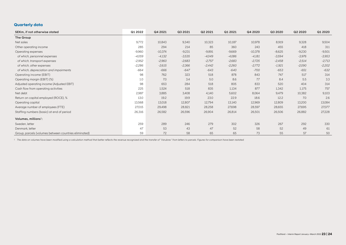# **Quarterly data**

| SEKm. if not otherwise stated                         | Q1 2022  | Q4 2021   | Q3 2021  | Q2 2021  | Q1 2021  | Q4 2020   | Q3 2020  | Q2 2020  | Q1 2020  |
|-------------------------------------------------------|----------|-----------|----------|----------|----------|-----------|----------|----------|----------|
| The Group                                             |          |           |          |          |          |           |          |          |          |
| Net sales                                             | 9,772    | 10,843    | 9,340    | 10,323   | 10,187   | 10,978    | 8,919    | 9,328    | 9,504    |
| Other operating income                                | 285      | 294       | 214      | 85       | 360      | 243       | 455      | 418      | 311      |
| Operating expenses                                    | -9,960   | $-10,374$ | $-9,231$ | $-9,891$ | $-9,669$ | $-10,378$ | $-8,625$ | $-9,230$ | $-9,501$ |
| of which, personnel expenses                          | $-4,059$ | $-4,132$  | $-3,535$ | $-4,049$ | $-4,086$ | $-4,181$  | $-3,594$ | $-3,976$ | $-3,953$ |
| of which, transport expenses                          | $-2,952$ | $-2,960$  | $-2,683$ | $-2,757$ | $-2,683$ | $-2,725$  | $-2,458$ | $-2,514$ | $-2,713$ |
| of which, other expenses                              | $-2,286$ | $-2,615$  | $-2,366$ | $-2,442$ | $-2,260$ | $-2,772$  | $-1,921$ | $-2,090$ | $-2,202$ |
| of which, depreciation and impairments                | $-664$   | $-666$    | $-647$   | $-643$   | $-640$   | $-700$    | $-653$   | $-651$   | $-632$   |
| Operating income (EBIT)                               | 98       | 762       | 323      | 518      | 878      | 843       | 747      | 517      | 314      |
| Operating margin (EBIT) (%)                           | 1.0      | 7.0       | 3.4      | 5.0      | 8.6      | 7.7       | 8.4      | 5.5      | 3.3      |
| Adjusted operating income (Adjusted EBIT)             | 98       | 653       | 284      | 518      | 805      | 833       | 520      | 404      | 314      |
| Cash flow from operating activities                   | 225      | 1,524     | 518      | 835      | 1,134    | 877       | 1,342    | 1,175    | 757      |
| Net debt                                              | 2,987    | 3,885     | 3,408    | 4,140    | 5,602    | 8,064     | 9,479    | 10,382   | 9,103    |
| Return on capital employed (ROCE), %                  | 13.0     | 19.2      | 19.9     | 23.0     | 22.9     | 18.6      | 12.2     | 7.0      | 2.6      |
| Operating capital                                     | 13,568   | 13,018    | 12,807   | 12,794   | 13,140   | 12,969    | 12,809   | 13,200   | 13,084   |
| Average number of employees (FTE)                     | 27,015   | 29,498    | 28,821   | 28,258   | 27,698   | 28,597    | 28,655   | 27,695   | 27,077   |
| Staffing numbers (basic) at end of period             | 26,316   | 26,582    | 26,596   | 26,904   | 26,814   | 26,501    | 26,506   | 26,882   | 27,228   |
| Volumes, millions <sup>1</sup> :                      |          |           |          |          |          |           |          |          |          |
| Sweden, letter                                        | 259      | 289       | 246      | 279      | 302      | 326       | 267      | 292      | 330      |
| Denmark, letter                                       | 47       | 53        | 43       | 47       | 52       | 58        | 52       | 49       | 61       |
| Group, parcels (volumes between countries eliminated) | 59       | 72        | 58       | 65       | 65       | 73        | 55       | 57       | 50       |

<sup>1</sup> *The data on volumes have been modified using a calculation method that better reflects the revenue recognized and the transfer of "Varubrev" from letters to parcels. Figures for comparison have been restated.*